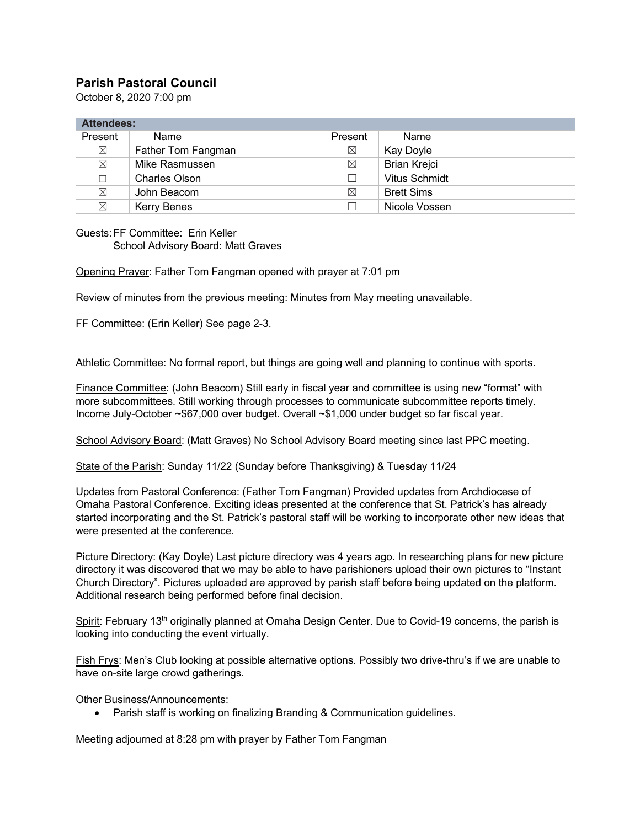## **Parish Pastoral Council**

October 8, 2020 7:00 pm

| <b>Attendees:</b> |                    |             |                      |
|-------------------|--------------------|-------------|----------------------|
| Present           | Name               | Present     | Name                 |
| $\boxtimes$       | Father Tom Fangman | ⊠           | Kay Doyle            |
| $\boxtimes$       | Mike Rasmussen     | $\boxtimes$ | <b>Brian Krejci</b>  |
| $\Box$            | Charles Olson      |             | <b>Vitus Schmidt</b> |
| $\boxtimes$       | John Beacom        | $\boxtimes$ | <b>Brett Sims</b>    |
| $\boxtimes$       | <b>Kerry Benes</b> |             | Nicole Vossen        |

Guests:FF Committee: Erin Keller School Advisory Board: Matt Graves

Opening Prayer: Father Tom Fangman opened with prayer at 7:01 pm

Review of minutes from the previous meeting: Minutes from May meeting unavailable.

FF Committee: (Erin Keller) See page 2-3.

Athletic Committee: No formal report, but things are going well and planning to continue with sports.

Finance Committee: (John Beacom) Still early in fiscal year and committee is using new "format" with more subcommittees. Still working through processes to communicate subcommittee reports timely. Income July-October ~\$67,000 over budget. Overall ~\$1,000 under budget so far fiscal year.

School Advisory Board: (Matt Graves) No School Advisory Board meeting since last PPC meeting.

State of the Parish: Sunday 11/22 (Sunday before Thanksgiving) & Tuesday 11/24

Updates from Pastoral Conference: (Father Tom Fangman) Provided updates from Archdiocese of Omaha Pastoral Conference. Exciting ideas presented at the conference that St. Patrick's has already started incorporating and the St. Patrick's pastoral staff will be working to incorporate other new ideas that were presented at the conference.

Picture Directory: (Kay Doyle) Last picture directory was 4 years ago. In researching plans for new picture directory it was discovered that we may be able to have parishioners upload their own pictures to "Instant Church Directory". Pictures uploaded are approved by parish staff before being updated on the platform. Additional research being performed before final decision.

Spirit: February 13<sup>th</sup> originally planned at Omaha Design Center. Due to Covid-19 concerns, the parish is looking into conducting the event virtually.

Fish Frys: Men's Club looking at possible alternative options. Possibly two drive-thru's if we are unable to have on-site large crowd gatherings.

Other Business/Announcements:

• Parish staff is working on finalizing Branding & Communication guidelines.

Meeting adjourned at 8:28 pm with prayer by Father Tom Fangman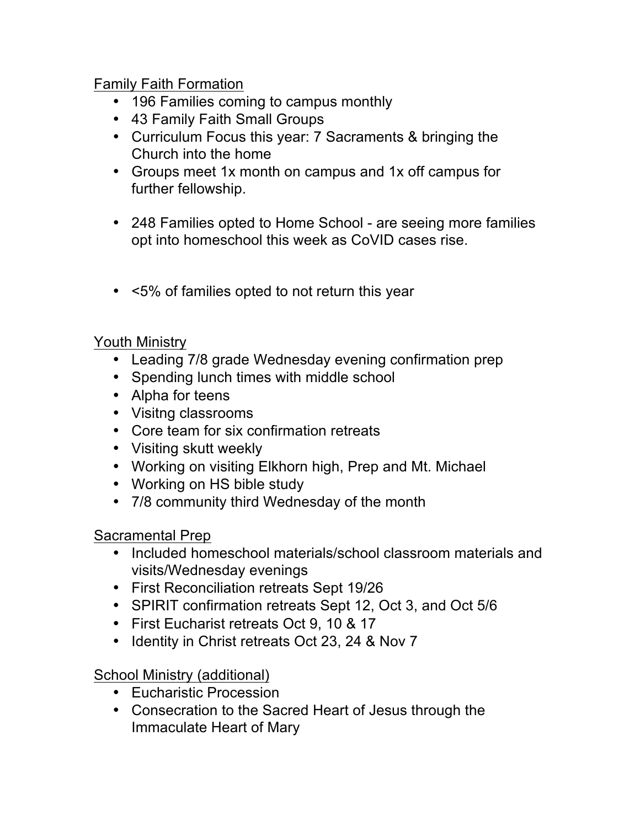## Family Faith Formation

- 196 Families coming to campus monthly
- 43 Family Faith Small Groups
- Curriculum Focus this year: 7 Sacraments & bringing the Church into the home
- Groups meet 1x month on campus and 1x off campus for further fellowship.
- 248 Families opted to Home School are seeing more families opt into homeschool this week as CoVID cases rise.
- <5% of families opted to not return this year

Youth Ministry

- Leading 7/8 grade Wednesday evening confirmation prep
- Spending lunch times with middle school
- Alpha for teens
- Visitng classrooms
- Core team for six confirmation retreats
- Visiting skutt weekly
- Working on visiting Elkhorn high, Prep and Mt. Michael
- Working on HS bible study
- 7/8 community third Wednesday of the month

Sacramental Prep

- Included homeschool materials/school classroom materials and visits/Wednesday evenings
- First Reconciliation retreats Sept 19/26
- SPIRIT confirmation retreats Sept 12, Oct 3, and Oct 5/6
- First Eucharist retreats Oct 9, 10 & 17
- Identity in Christ retreats Oct 23, 24 & Nov 7

School Ministry (additional)

- Eucharistic Procession
- Consecration to the Sacred Heart of Jesus through the Immaculate Heart of Mary